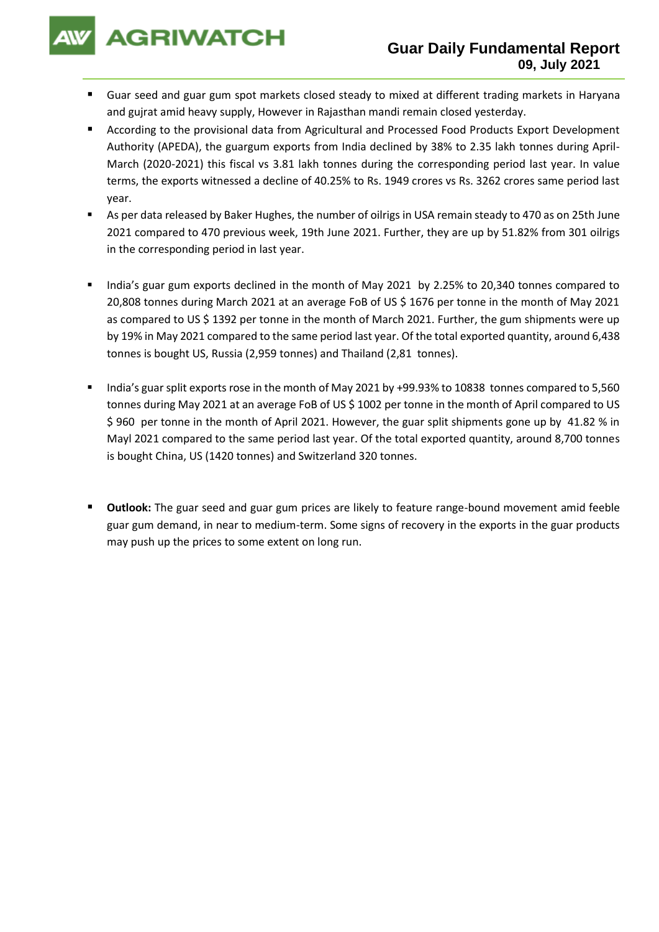**AGRIWATCH** 

- Guar seed and guar gum spot markets closed steady to mixed at different trading markets in Haryana and gujrat amid heavy supply, However in Rajasthan mandi remain closed yesterday.
- According to the provisional data from Agricultural and Processed Food Products Export Development Authority (APEDA), the guargum exports from India declined by 38% to 2.35 lakh tonnes during April-March (2020-2021) this fiscal vs 3.81 lakh tonnes during the corresponding period last year. In value terms, the exports witnessed a decline of 40.25% to Rs. 1949 crores vs Rs. 3262 crores same period last year.
- As per data released by Baker Hughes, the number of oilrigs in USA remain steady to 470 as on 25th June 2021 compared to 470 previous week, 19th June 2021. Further, they are up by 51.82% from 301 oilrigs in the corresponding period in last year.
- India's guar gum exports declined in the month of May 2021 by 2.25% to 20,340 tonnes compared to 20,808 tonnes during March 2021 at an average FoB of US \$ 1676 per tonne in the month of May 2021 as compared to US \$ 1392 per tonne in the month of March 2021. Further, the gum shipments were up by 19% in May 2021 compared to the same period last year. Of the total exported quantity, around 6,438 tonnes is bought US, Russia (2,959 tonnes) and Thailand (2,81 tonnes).
- India's guar split exports rose in the month of May 2021 by +99.93% to 10838 tonnes compared to 5,560 tonnes during May 2021 at an average FoB of US \$ 1002 per tonne in the month of April compared to US \$ 960 per tonne in the month of April 2021. However, the guar split shipments gone up by 41.82 % in Mayl 2021 compared to the same period last year. Of the total exported quantity, around 8,700 tonnes is bought China, US (1420 tonnes) and Switzerland 320 tonnes.
- **Outlook:** The guar seed and guar gum prices are likely to feature range-bound movement amid feeble guar gum demand, in near to medium-term. Some signs of recovery in the exports in the guar products may push up the prices to some extent on long run.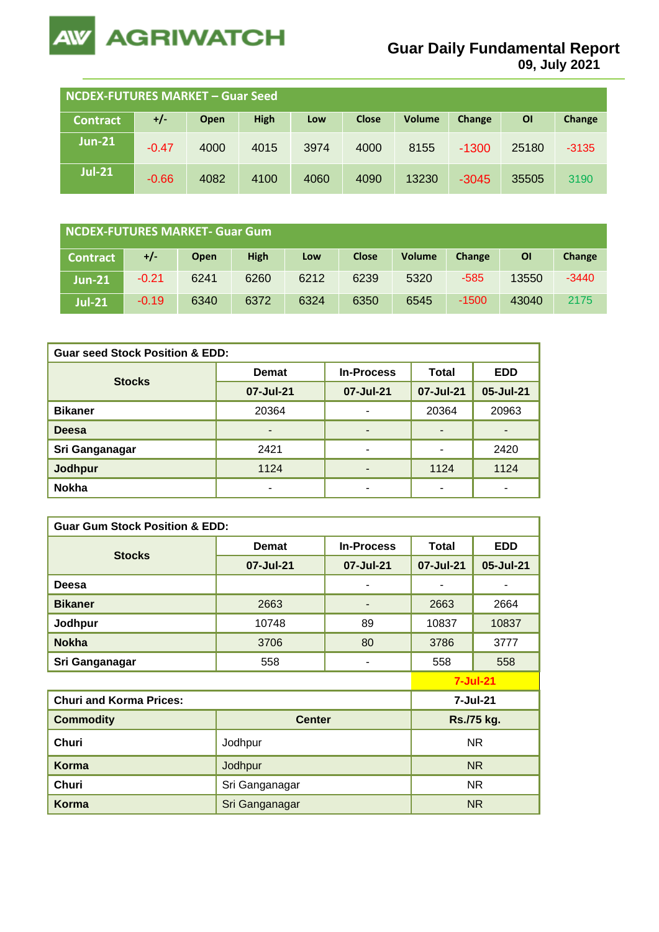

**09, July 2021**

| <b>NCDEX-FUTURES MARKET - Guar Seed</b> |         |      |             |      |              |        |         |       |         |
|-----------------------------------------|---------|------|-------------|------|--------------|--------|---------|-------|---------|
| <b>Contract</b>                         | $+/-$   | Open | <b>High</b> | Low  | <b>Close</b> | Volume | Change  | ΟI    | Change  |
| <b>Jun-21</b>                           | $-0.47$ | 4000 | 4015        | 3974 | 4000         | 8155   | $-1300$ | 25180 | $-3135$ |
| <b>Jul-21</b>                           | $-0.66$ | 4082 | 4100        | 4060 | 4090         | 13230  | $-3045$ | 35505 | 3190    |

| NCDEX-FUTURES MARKET- Guar Gum |  |         |             |             |      |              |               |         |       |         |
|--------------------------------|--|---------|-------------|-------------|------|--------------|---------------|---------|-------|---------|
| <b>Contract</b>                |  | $+/-$   | <b>Open</b> | <b>High</b> | Low  | <b>Close</b> | <b>Volume</b> | Change  | ΟI    | Change  |
| $Jun-21$                       |  | $-0.21$ | 6241        | 6260        | 6212 | 6239         | 5320          | $-585$  | 13550 | $-3440$ |
| <b>Jul-21</b>                  |  | $-0.19$ | 6340        | 6372        | 6324 | 6350         | 6545          | $-1500$ | 43040 | 2175    |

| <b>Guar seed Stock Position &amp; EDD:</b> |              |                          |              |                          |  |  |  |  |
|--------------------------------------------|--------------|--------------------------|--------------|--------------------------|--|--|--|--|
| <b>Stocks</b>                              | <b>Demat</b> | <b>In-Process</b>        | <b>Total</b> | <b>EDD</b>               |  |  |  |  |
|                                            | 07-Jul-21    | 07-Jul-21                | 07-Jul-21    | 05-Jul-21                |  |  |  |  |
| <b>Bikaner</b>                             | 20364        | ۰                        | 20364        | 20963                    |  |  |  |  |
| <b>Deesa</b>                               | -            | $\overline{\phantom{0}}$ |              | $\overline{\phantom{a}}$ |  |  |  |  |
| Sri Ganganagar                             | 2421         | ۰                        |              | 2420                     |  |  |  |  |
| <b>Jodhpur</b>                             | 1124         | ۰                        | 1124         | 1124                     |  |  |  |  |
| <b>Nokha</b>                               |              | ٠                        |              |                          |  |  |  |  |

| <b>Guar Gum Stock Position &amp; EDD:</b> |                |                   |                 |            |  |  |  |  |
|-------------------------------------------|----------------|-------------------|-----------------|------------|--|--|--|--|
|                                           | <b>Demat</b>   | <b>In-Process</b> | <b>Total</b>    | <b>EDD</b> |  |  |  |  |
| <b>Stocks</b>                             | 07-Jul-21      | 07-Jul-21         | 07-Jul-21       | 05-Jul-21  |  |  |  |  |
| Deesa                                     |                | ۰                 |                 |            |  |  |  |  |
| <b>Bikaner</b>                            | 2663           | -                 | 2663            | 2664       |  |  |  |  |
| Jodhpur                                   | 10748          | 89                | 10837           | 10837      |  |  |  |  |
| <b>Nokha</b>                              | 3706           | 80                | 3786            | 3777       |  |  |  |  |
| Sri Ganganagar                            | 558            | ٠                 | 558             | 558        |  |  |  |  |
|                                           |                |                   | $7 -$ Jul $-21$ |            |  |  |  |  |
| <b>Churi and Korma Prices:</b>            |                |                   | 7-Jul-21        |            |  |  |  |  |
| <b>Commodity</b>                          | <b>Center</b>  |                   | Rs./75 kg.      |            |  |  |  |  |
| <b>Churi</b>                              | Jodhpur        | <b>NR</b>         |                 |            |  |  |  |  |
| Korma                                     | Jodhpur        | N <sub>R</sub>    |                 |            |  |  |  |  |
| Churi                                     | Sri Ganganagar | NR.               |                 |            |  |  |  |  |
| <b>Korma</b>                              | Sri Ganganagar |                   | N <sub>R</sub>  |            |  |  |  |  |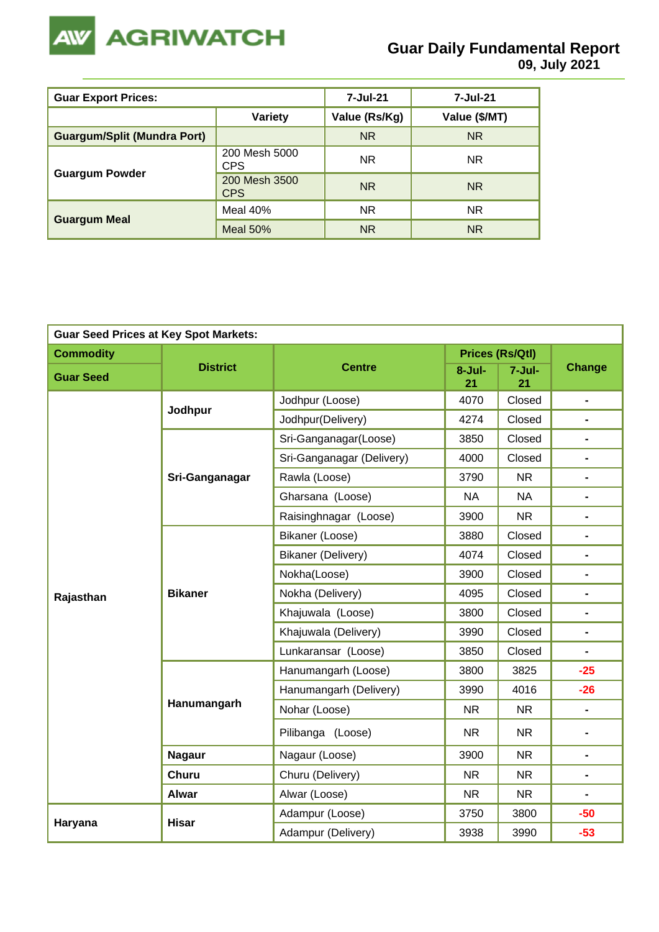

| <b>Guar Export Prices:</b>         |                             | 7-Jul-21      | 7-Jul-21      |
|------------------------------------|-----------------------------|---------------|---------------|
|                                    | <b>Variety</b>              | Value (Rs/Kg) | Value (\$/MT) |
| <b>Guargum/Split (Mundra Port)</b> |                             | <b>NR</b>     | <b>NR</b>     |
|                                    | 200 Mesh 5000<br>CPS        | <b>NR</b>     | NR.           |
| <b>Guargum Powder</b>              | 200 Mesh 3500<br><b>CPS</b> | <b>NR</b>     | NR.           |
|                                    | Meal 40%                    | <b>NR</b>     | NR.           |
| <b>Guargum Meal</b>                | Meal $50\%$                 | <b>NR</b>     | <b>NR</b>     |

| <b>Guar Seed Prices at Key Spot Markets:</b> |                 |                           |                  |                        |                              |  |  |
|----------------------------------------------|-----------------|---------------------------|------------------|------------------------|------------------------------|--|--|
| <b>Commodity</b>                             |                 |                           |                  | <b>Prices (Rs/Qtl)</b> | <b>Change</b>                |  |  |
| <b>Guar Seed</b>                             | <b>District</b> | <b>Centre</b>             | $8 -$ Jul-<br>21 | $7 -$ Jul-<br>21       |                              |  |  |
|                                              | Jodhpur         | Jodhpur (Loose)           | 4070             | Closed                 | $\blacksquare$               |  |  |
|                                              |                 | Jodhpur(Delivery)         | 4274             | Closed                 | $\blacksquare$               |  |  |
|                                              |                 | Sri-Ganganagar(Loose)     | 3850             | Closed                 | $\blacksquare$               |  |  |
|                                              |                 | Sri-Ganganagar (Delivery) | 4000             | Closed                 | $\qquad \qquad \blacksquare$ |  |  |
|                                              | Sri-Ganganagar  | Rawla (Loose)             | 3790             | <b>NR</b>              | $\blacksquare$               |  |  |
|                                              |                 | Gharsana (Loose)          | <b>NA</b>        | <b>NA</b>              | $\blacksquare$               |  |  |
|                                              |                 | Raisinghnagar (Loose)     | 3900             | <b>NR</b>              | $\blacksquare$               |  |  |
|                                              | <b>Bikaner</b>  | Bikaner (Loose)           | 3880             | Closed                 |                              |  |  |
|                                              |                 | Bikaner (Delivery)        | 4074             | Closed                 | $\blacksquare$               |  |  |
|                                              |                 | Nokha(Loose)              | 3900             | Closed                 | $\blacksquare$               |  |  |
| Rajasthan                                    |                 | Nokha (Delivery)          | 4095             | Closed                 | $\blacksquare$               |  |  |
|                                              |                 | Khajuwala (Loose)         | 3800             | Closed                 |                              |  |  |
|                                              |                 | Khajuwala (Delivery)      | 3990             | Closed                 | $\blacksquare$               |  |  |
|                                              |                 | Lunkaransar (Loose)       | 3850             | Closed                 | $\blacksquare$               |  |  |
|                                              |                 | Hanumangarh (Loose)       | 3800             | 3825                   | $-25$                        |  |  |
|                                              |                 | Hanumangarh (Delivery)    | 3990             | 4016                   | $-26$                        |  |  |
|                                              | Hanumangarh     | Nohar (Loose)             | <b>NR</b>        | <b>NR</b>              | $\overline{\phantom{0}}$     |  |  |
|                                              |                 | Pilibanga (Loose)         | <b>NR</b>        | <b>NR</b>              | $\blacksquare$               |  |  |
|                                              | <b>Nagaur</b>   | Nagaur (Loose)            | 3900             | N <sub>R</sub>         | $\blacksquare$               |  |  |
|                                              | <b>Churu</b>    | Churu (Delivery)          | <b>NR</b>        | <b>NR</b>              | $\blacksquare$               |  |  |
|                                              | <b>Alwar</b>    | Alwar (Loose)             | <b>NR</b>        | <b>NR</b>              |                              |  |  |
|                                              |                 | Adampur (Loose)           | 3750             | 3800                   | $-50$                        |  |  |
| Haryana                                      | <b>Hisar</b>    | Adampur (Delivery)        | 3938             | 3990                   | $-53$                        |  |  |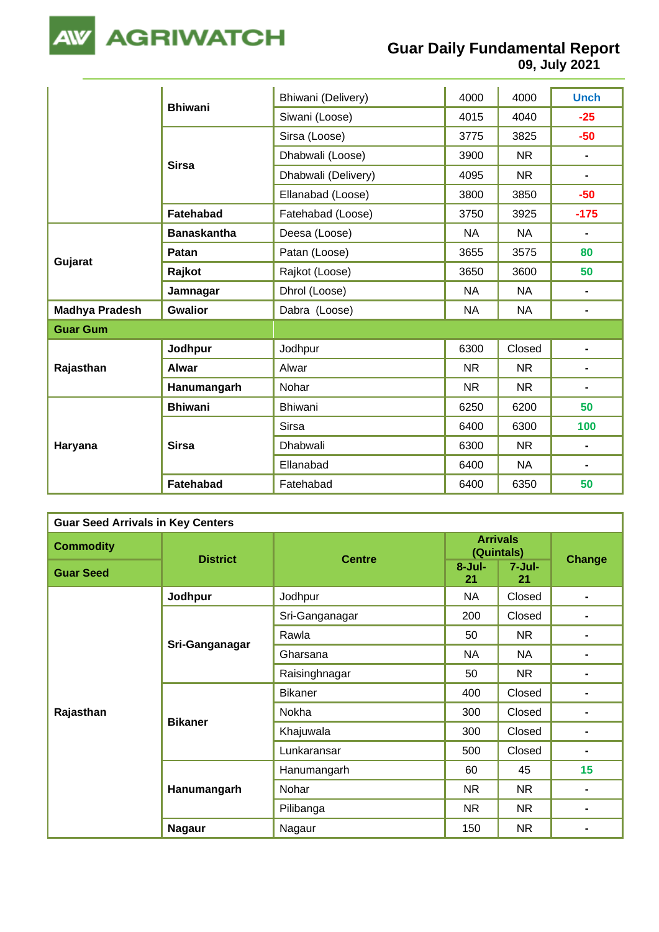

|                       |                    | Bhiwani (Delivery)  | 4000      | 4000                                                                                                | <b>Unch</b>    |  |  |
|-----------------------|--------------------|---------------------|-----------|-----------------------------------------------------------------------------------------------------|----------------|--|--|
|                       | <b>Bhiwani</b>     | Siwani (Loose)      | 4015      | 4040<br>$-25$<br>3825<br><b>NR</b><br>$\blacksquare$<br><b>NR</b><br>$\blacksquare$<br>3850<br>3925 |                |  |  |
|                       |                    | Sirsa (Loose)       | 3775      |                                                                                                     | $-50$          |  |  |
|                       |                    | Dhabwali (Loose)    | 3900      |                                                                                                     |                |  |  |
|                       | <b>Sirsa</b>       | Dhabwali (Delivery) | 4095      |                                                                                                     |                |  |  |
|                       |                    | Ellanabad (Loose)   | 3800      |                                                                                                     | $-50$          |  |  |
|                       | <b>Fatehabad</b>   | Fatehabad (Loose)   | 3750      |                                                                                                     | $-175$         |  |  |
| Gujarat               | <b>Banaskantha</b> | Deesa (Loose)       | <b>NA</b> | <b>NA</b>                                                                                           | $\blacksquare$ |  |  |
|                       | Patan              | Patan (Loose)       | 3655      | 3575                                                                                                | 80             |  |  |
|                       | Rajkot             | Rajkot (Loose)      | 3650      | 3600                                                                                                | 50             |  |  |
|                       | Jamnagar           | Dhrol (Loose)       | <b>NA</b> | <b>NA</b>                                                                                           | $\blacksquare$ |  |  |
| <b>Madhya Pradesh</b> | <b>Gwalior</b>     | Dabra (Loose)       | <b>NA</b> | <b>NA</b>                                                                                           |                |  |  |
| <b>Guar Gum</b>       |                    |                     |           |                                                                                                     |                |  |  |
|                       | Jodhpur            | Jodhpur             | 6300      | Closed                                                                                              | $\blacksquare$ |  |  |
| Rajasthan             | <b>Alwar</b>       | Alwar               | <b>NR</b> | <b>NR</b>                                                                                           | $\blacksquare$ |  |  |
|                       | Hanumangarh        | Nohar               | NR.       | <b>NR</b>                                                                                           | $\blacksquare$ |  |  |
|                       | <b>Bhiwani</b>     | <b>Bhiwani</b>      | 6250      | 6200                                                                                                | 50             |  |  |
| Haryana               |                    | <b>Sirsa</b>        | 6400      | 6300                                                                                                | 100            |  |  |
|                       | <b>Sirsa</b>       | <b>Dhabwali</b>     | 6300      | <b>NR</b>                                                                                           | $\blacksquare$ |  |  |
|                       |                    | Ellanabad           | 6400      | <b>NA</b>                                                                                           |                |  |  |
|                       | <b>Fatehabad</b>   | Fatehabad           | 6400      | 6350                                                                                                | 50             |  |  |

| <b>Guar Seed Arrivals in Key Centers</b> |                 |                |                               |                                                                                        |                |  |  |  |
|------------------------------------------|-----------------|----------------|-------------------------------|----------------------------------------------------------------------------------------|----------------|--|--|--|
| <b>Commodity</b>                         | <b>District</b> | <b>Centre</b>  | <b>Arrivals</b><br>(Quintals) |                                                                                        |                |  |  |  |
| <b>Guar Seed</b>                         |                 |                | $8 -$ Jul-<br>21              | $7 -$ Jul-<br>21                                                                       |                |  |  |  |
|                                          | Jodhpur         | Jodhpur        | <b>NA</b>                     | Closed                                                                                 | $\blacksquare$ |  |  |  |
|                                          |                 | Sri-Ganganagar | 200                           | Closed                                                                                 |                |  |  |  |
|                                          |                 | Rawla          | 50                            | <b>NR</b>                                                                              |                |  |  |  |
|                                          | Sri-Ganganagar  | Gharsana       | <b>NA</b>                     | <b>NA</b>                                                                              |                |  |  |  |
|                                          |                 | Raisinghnagar  | 50                            | <b>NR</b>                                                                              |                |  |  |  |
|                                          |                 | <b>Bikaner</b> | 400                           | Closed                                                                                 |                |  |  |  |
| Rajasthan                                |                 | Nokha          | 300                           | Closed                                                                                 |                |  |  |  |
|                                          | <b>Bikaner</b>  | Khajuwala      | 300                           | Closed                                                                                 |                |  |  |  |
|                                          |                 | Lunkaransar    | 500                           | <b>Change</b><br>Closed<br>15<br>45<br><b>NR</b><br>$\blacksquare$<br><b>NR</b><br>NR. |                |  |  |  |
|                                          |                 | Hanumangarh    | 60                            |                                                                                        |                |  |  |  |
|                                          | Hanumangarh     | Nohar          | NR                            |                                                                                        |                |  |  |  |
|                                          |                 | Pilibanga      | <b>NR</b>                     |                                                                                        |                |  |  |  |
|                                          | <b>Nagaur</b>   | Nagaur         | 150                           |                                                                                        |                |  |  |  |